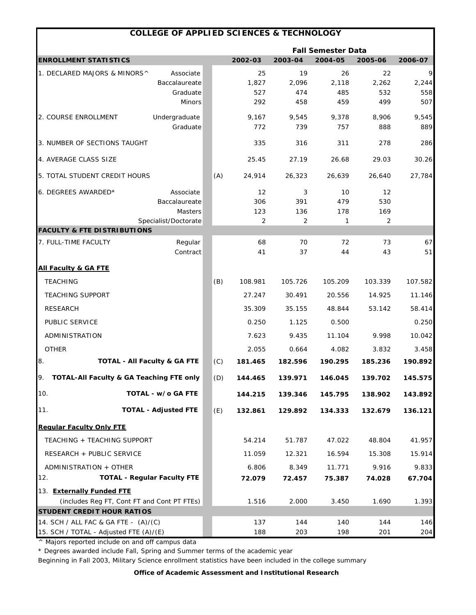|                                             | <b>COLLEGE OF APPLIED SCIENCES &amp; TECHNOLOGY</b> |     |          |          |          |          |          |
|---------------------------------------------|-----------------------------------------------------|-----|----------|----------|----------|----------|----------|
|                                             | <b>Fall Semester Data</b>                           |     |          |          |          |          |          |
| <b>ENROLLMENT STATISTICS</b>                |                                                     |     | 2002-03  | 2003-04  | 2004-05  | 2005-06  | 2006-07  |
| 1. DECLARED MAJORS & MINORS^                | Associate                                           |     | 25       | 19       | 26       | 22       | 9        |
|                                             | Baccalaureate                                       |     | 1,827    | 2,096    | 2,118    | 2,262    | 2,244    |
|                                             | Graduate                                            |     | 527      | 474      | 485      | 532      | 558      |
|                                             | <b>Minors</b>                                       |     | 292      | 458      | 459      | 499      | 507      |
| 2. COURSE ENROLLMENT                        | Undergraduate                                       |     | 9,167    | 9,545    | 9,378    | 8,906    | 9,545    |
|                                             | Graduate                                            |     | 772      | 739      | 757      | 888      | 889      |
| 3. NUMBER OF SECTIONS TAUGHT                |                                                     |     | 335      | 316      | 311      | 278      | 286      |
| 4. AVERAGE CLASS SIZE                       |                                                     |     | 25.45    | 27.19    | 26.68    | 29.03    | 30.26    |
| 5. TOTAL STUDENT CREDIT HOURS               |                                                     | (A) | 24,914   | 26,323   | 26,639   | 26,640   | 27,784   |
| 6. DEGREES AWARDED*                         | Associate                                           |     | 12       | 3        | 10       | 12       |          |
|                                             | Baccalaureate                                       |     | 306      | 391      | 479      | 530      |          |
|                                             | Masters                                             |     | 123      | 136      | 178      | 169      |          |
|                                             | Specialist/Doctorate                                |     | 2        | 2        | 1        | 2        |          |
| <b>FACULTY &amp; FTE DISTRIBUTIONS</b>      |                                                     |     |          |          |          |          |          |
| 7. FULL-TIME FACULTY                        | Regular<br>Contract                                 |     | 68<br>41 | 70<br>37 | 72<br>44 | 73<br>43 | 67<br>51 |
| <b>All Faculty &amp; GA FTE</b>             |                                                     |     |          |          |          |          |          |
| <b>TEACHING</b>                             |                                                     | (B) | 108.981  | 105.726  | 105.209  | 103.339  | 107.582  |
| <b>TEACHING SUPPORT</b>                     |                                                     |     | 27.247   | 30.491   | 20.556   | 14.925   | 11.146   |
| <b>RESEARCH</b>                             |                                                     |     | 35.309   | 35.155   | 48.844   | 53.142   | 58.414   |
| PUBLIC SERVICE                              |                                                     |     | 0.250    | 1.125    | 0.500    |          | 0.250    |
| ADMINISTRATION                              |                                                     |     | 7.623    | 9.435    | 11.104   | 9.998    | 10.042   |
| <b>OTHER</b>                                |                                                     |     | 2.055    | 0.664    | 4.082    | 3.832    | 3.458    |
| 8.                                          | <b>TOTAL - All Faculty &amp; GA FTE</b>             | (C) | 181.465  | 182.596  | 190.295  | 185.236  | 190.892  |
| 9. TOTAL-All Faculty & GA Teaching FTE only |                                                     | (D) | 144.465  | 139.971  | 146.045  | 139.702  | 145.575  |
| 10.                                         | TOTAL - w/o GA FTE                                  |     | 144.215  | 139.346  | 145.795  | 138.902  | 143.892  |
| 11.                                         | <b>TOTAL - Adjusted FTE</b>                         | (E) | 132.861  | 129.892  | 134.333  | 132.679  | 136.121  |
| <b>Requiar Faculty Only FTE</b>             |                                                     |     |          |          |          |          |          |
| TEACHING + TEACHING SUPPORT                 |                                                     |     | 54.214   | 51.787   | 47.022   | 48.804   | 41.957   |
| RESEARCH + PUBLIC SERVICE                   |                                                     |     | 11.059   | 12.321   | 16.594   | 15.308   | 15.914   |
| ADMINISTRATION + OTHER                      |                                                     |     | 6.806    | 8.349    | 11.771   | 9.916    | 9.833    |
| 12.                                         | <b>TOTAL - Regular Faculty FTE</b>                  |     | 72.079   | 72.457   | 75.387   | 74.028   | 67.704   |
| 13. Externally Funded FTE                   |                                                     |     |          |          |          |          |          |
| (includes Reg FT, Cont FT and Cont PT FTEs) |                                                     |     | 1.516    | 2.000    | 3.450    | 1.690    | 1.393    |
| <b>STUDENT CREDIT HOUR RATIOS</b>           |                                                     |     |          |          |          |          |          |
| 14. SCH / ALL FAC & GA FTE - (A)/(C)        |                                                     |     | 137      | 144      | 140      | 144      | 146      |
| 15. SCH / TOTAL - Adjusted FTE (A)/(E)      |                                                     |     | 188      | 203      | 198      | 201      | 204      |

\* Degrees awarded include Fall, Spring and Summer terms of the academic year

Beginning in Fall 2003, Military Science enrollment statistics have been included in the college summary

*Office of Academic Assessment and Institutional Research*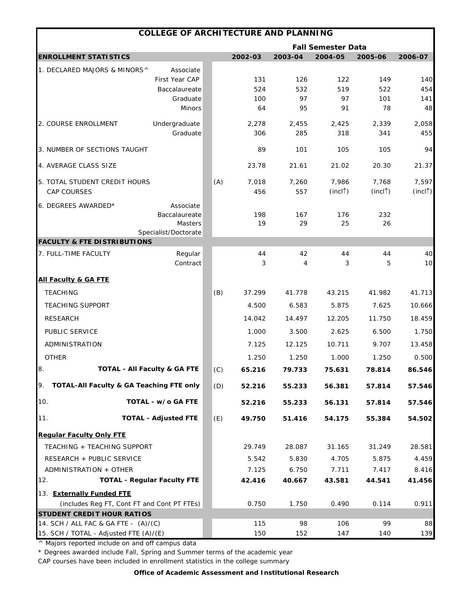|                                        | <b>COLLEGE OF ARCHITECTURE AND PLANNING</b> |     |           |          |                           |                      |                      |
|----------------------------------------|---------------------------------------------|-----|-----------|----------|---------------------------|----------------------|----------------------|
|                                        |                                             |     |           |          | <b>Fall Semester Data</b> |                      |                      |
| <b>ENROLLMENT STATISTICS</b>           |                                             |     | 2002-03   | 2003-04  | 2004-05                   | 2005-06              | 2006-07              |
| 1. DECLARED MAJORS & MINORS^           | Associate                                   |     |           |          |                           |                      |                      |
|                                        | First Year CAP                              |     | 131       | 126      | 122                       | 149                  | 140                  |
|                                        | Baccalaureate                               |     | 524       | 532      | 519                       | 522                  | 454                  |
|                                        | Graduate<br><b>Minors</b>                   |     | 100<br>64 | 97<br>95 | 97<br>91                  | 101<br>78            | $141$<br>48          |
|                                        |                                             |     |           |          |                           |                      |                      |
| 2. COURSE ENROLLMENT                   | Undergraduate                               |     | 2,278     | 2,455    | 2,425                     | 2,339                | 2,058                |
|                                        | Graduate                                    |     | 306       | 285      | 318                       | 341                  | 455                  |
| 3. NUMBER OF SECTIONS TAUGHT           |                                             |     | 89        | 101      | 105                       | 105                  | 94                   |
| 4. AVERAGE CLASS SIZE                  |                                             |     | 23.78     | 21.61    | 21.02                     | 20.30                | 21.37                |
| 5. TOTAL STUDENT CREDIT HOURS          |                                             | (A) | 7,018     | 7,260    | 7,986                     | 7,768                | 7,597                |
| <b>CAP COURSES</b>                     |                                             |     | 456       | 557      | (incl <sup>†</sup> )      | (incl <sup>†</sup> ) | (incl <sup>†</sup> ) |
| 6. DEGREES AWARDED*                    | Associate                                   |     |           |          |                           |                      |                      |
|                                        | Baccalaureate                               |     | 198       | 167      | 176                       | 232                  |                      |
|                                        | <b>Masters</b>                              |     | 19        | 29       | 25                        | 26                   |                      |
|                                        | Specialist/Doctorate                        |     |           |          |                           |                      |                      |
| <b>FACULTY &amp; FTE DISTRIBUTIONS</b> |                                             |     |           |          |                           |                      |                      |
| 7. FULL-TIME FACULTY                   | Regular<br>Contract                         |     | 44<br>3   | 42<br>4  | 44<br>3                   | 44<br>5              | 40<br>10             |
|                                        |                                             |     |           |          |                           |                      |                      |
| <b>All Faculty &amp; GA FTE</b>        |                                             |     |           |          |                           |                      |                      |
| <b>TEACHING</b>                        |                                             | (B) | 37.299    | 41.778   | 43.215                    | 41.982               | 41.713               |
| <b>TEACHING SUPPORT</b>                |                                             |     | 4.500     | 6.583    | 5.875                     | 7.625                | 10.666               |
| <b>RESEARCH</b>                        |                                             |     | 14.042    | 14.497   | 12.205                    | 11.750               | 18.459               |
| <b>PUBLIC SERVICE</b>                  |                                             |     | 1.000     | 3.500    | 2.625                     | 6.500                | 1.750                |
| ADMINISTRATION                         |                                             |     | 7.125     | 12.125   | 10.711                    | 9.707                | 13.458               |
| <b>OTHER</b>                           |                                             |     | 1.250     | 1.250    | 1.000                     | 1.250                | 0.500                |
| 8.                                     | <b>TOTAL - All Faculty &amp; GA FTE</b>     | (C) | 65.216    | 79.733   | 75.631                    | 78.814               | 86.546               |
|                                        |                                             |     |           |          |                           |                      |                      |
| 9.                                     | TOTAL-All Faculty & GA Teaching FTE only    | (D) | 52.216    | 55.233   | 56.381                    | 57.814               | 57.546               |
| 10.                                    | TOTAL - w/o GA FTE                          |     | 52.216    | 55.233   | 56.131                    | 57.814               | 57.546               |
| 11.                                    | <b>TOTAL - Adjusted FTE</b>                 | (E) | 49.750    | 51.416   | 54.175                    | 55.384               | 54.502               |
| <b>Regular Faculty Only FTE</b>        |                                             |     |           |          |                           |                      |                      |
| TEACHING + TEACHING SUPPORT            |                                             |     | 29.749    | 28.087   | 31.165                    | 31.249               | 28.581               |
| RESEARCH + PUBLIC SERVICE              |                                             |     | 5.542     | 5.830    | 4.705                     | 5.875                | 4.459                |
| ADMINISTRATION + OTHER                 |                                             |     | 7.125     | 6.750    | 7.711                     | 7.417                | 8.416                |
| 12.                                    | <b>TOTAL - Regular Faculty FTE</b>          |     | 42.416    | 40.667   | 43.581                    | 44.541               | 41.456               |
| 13. Externally Funded FTE              |                                             |     |           |          |                           |                      |                      |
|                                        | (includes Reg FT, Cont FT and Cont PT FTEs) |     | 0.750     | 1.750    | 0.490                     | 0.114                | 0.911                |
| STUDENT CREDIT HOUR RATIOS             |                                             |     |           |          |                           |                      |                      |
| 14. SCH / ALL FAC & GA FTE - (A)/(C)   |                                             |     | 115       | 98       | 106                       | 99                   | 88                   |
| 15. SCH / TOTAL - Adjusted FTE (A)/(E) |                                             |     | 150       | 152      | 147                       | 140                  | 139                  |

\* Degrees awarded include Fall, Spring and Summer terms of the academic year

CAP courses have been included in enrollment statistics in the college summary

*Office of Academic Assessment and Institutional Research*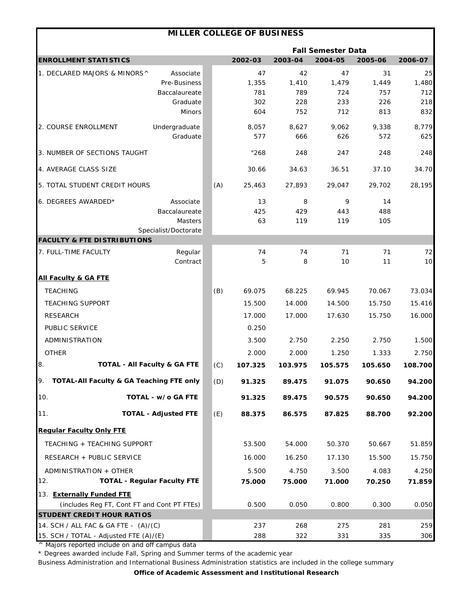|                                                                                |                                         |     | <b>MILLER COLLEGE OF BUSINESS</b> |            |                           |            |            |
|--------------------------------------------------------------------------------|-----------------------------------------|-----|-----------------------------------|------------|---------------------------|------------|------------|
|                                                                                |                                         |     |                                   |            | <b>Fall Semester Data</b> |            |            |
| <b>ENROLLMENT STATISTICS</b>                                                   |                                         |     | 2002-03                           | 2003-04    | 2004-05                   | 2005-06    | 2006-07    |
| 1. DECLARED MAJORS & MINORS^                                                   | Associate                               |     | 47                                | 42         | 47                        | 31         | 25         |
|                                                                                | Pre-Business                            |     | 1,355                             | 1,410      | 1,479                     | 1,449      | 1,480      |
|                                                                                | Baccalaureate                           |     | 781                               | 789        | 724                       | 757        | 712        |
|                                                                                | Graduate<br><b>Minors</b>               |     | 302<br>604                        | 228<br>752 | 233<br>712                | 226<br>813 | 218<br>832 |
|                                                                                |                                         |     |                                   |            |                           |            |            |
| 2. COURSE ENROLLMENT                                                           | Undergraduate                           |     | 8,057                             | 8,627      | 9,062                     | 9,338      | 8,779      |
|                                                                                | Graduate                                |     | 577                               | 666        | 626                       | 572        | 625        |
| 3. NUMBER OF SECTIONS TAUGHT                                                   |                                         |     | "268                              | 248        | 247                       | 248        | 248        |
| 4. AVERAGE CLASS SIZE                                                          |                                         |     | 30.66                             | 34.63      | 36.51                     | 37.10      | 34.70      |
| 5. TOTAL STUDENT CREDIT HOURS                                                  |                                         | (A) | 25,463                            | 27,893     | 29,047                    | 29,702     | 28,195     |
| 6. DEGREES AWARDED*                                                            | Associate                               |     | 13                                | 8          | 9                         | 14         |            |
|                                                                                | Baccalaureate                           |     | 425                               | 429        | 443                       | 488        |            |
|                                                                                | Masters                                 |     | 63                                | 119        | 119                       | 105        |            |
|                                                                                | Specialist/Doctorate                    |     |                                   |            |                           |            |            |
| <b>FACULTY &amp; FTE DISTRIBUTIONS</b>                                         |                                         |     |                                   |            |                           |            |            |
| 7. FULL-TIME FACULTY                                                           | Regular<br>Contract                     |     | 74<br>5                           | 74<br>8    | 71<br>10                  | 71<br>11   | 72<br>10   |
|                                                                                |                                         |     |                                   |            |                           |            |            |
| <b>All Faculty &amp; GA FTE</b>                                                |                                         |     |                                   |            |                           |            |            |
| <b>TEACHING</b>                                                                |                                         | (B) | 69.075                            | 68.225     | 69.945                    | 70.067     | 73.034     |
| <b>TEACHING SUPPORT</b>                                                        |                                         |     | 15.500                            | 14.000     | 14.500                    | 15.750     | 15.416     |
| <b>RESEARCH</b>                                                                |                                         |     | 17.000                            | 17.000     | 17.630                    | 15.750     | 16.000     |
| PUBLIC SERVICE                                                                 |                                         |     | 0.250                             |            |                           |            |            |
| ADMINISTRATION                                                                 |                                         |     | 3.500                             | 2.750      | 2.250                     | 2.750      | 1.500      |
| <b>OTHER</b>                                                                   |                                         |     | 2.000                             | 2.000      | 1.250                     | 1.333      | 2.750      |
|                                                                                |                                         |     |                                   |            |                           |            |            |
| 8.                                                                             | <b>TOTAL - All Faculty &amp; GA FTE</b> | (C) | 107.325                           | 103.975    | 105.575                   | 105.650    | 108.700    |
| 9.<br>TOTAL-All Faculty & GA Teaching FTE only                                 |                                         | (D) | 91.325                            | 89.475     | 91.075                    | 90.650     | 94.200     |
| 10.                                                                            | TOTAL - w/o GA FTE                      |     | 91.325                            | 89.475     | 90.575                    | 90.650     | 94.200     |
| 11.                                                                            | <b>TOTAL - Adjusted FTE</b>             | (E) | 88.375                            | 86.575     | 87.825                    | 88.700     | 92.200     |
| <b>Regular Faculty Only FTE</b>                                                |                                         |     |                                   |            |                           |            |            |
| TEACHING + TEACHING SUPPORT                                                    |                                         |     | 53.500                            | 54.000     | 50.370                    | 50.667     | 51.859     |
| RESEARCH + PUBLIC SERVICE                                                      |                                         |     | 16.000                            | 16.250     | 17.130                    | 15.500     | 15.750     |
| ADMINISTRATION + OTHER                                                         |                                         |     | 5.500                             | 4.750      | 3.500                     | 4.083      | 4.250      |
| 12.                                                                            | <b>TOTAL - Regular Faculty FTE</b>      |     | 75.000                            | 75.000     | 71.000                    | 70.250     | 71.859     |
| 13. Externally Funded FTE                                                      |                                         |     |                                   |            |                           |            |            |
| (includes Reg FT, Cont FT and Cont PT FTEs)                                    |                                         |     | 0.500                             | 0.050      | 0.800                     | 0.300      | 0.050      |
| STUDENT CREDIT HOUR RATIOS                                                     |                                         |     |                                   |            |                           |            |            |
| 14. SCH / ALL FAC & GA FTE - (A)/(C)<br>15. SCH / TOTAL - Adjusted FTE (A)/(E) |                                         |     | 237<br>288                        | 268<br>322 | 275<br>331                | 281<br>335 | 259<br>306 |
|                                                                                |                                         |     |                                   |            |                           |            |            |

\* Degrees awarded include Fall, Spring and Summer terms of the academic year

Business Administration and International Business Administration statistics are included in the college summary

*Office of Academic Assessment and Institutional Research*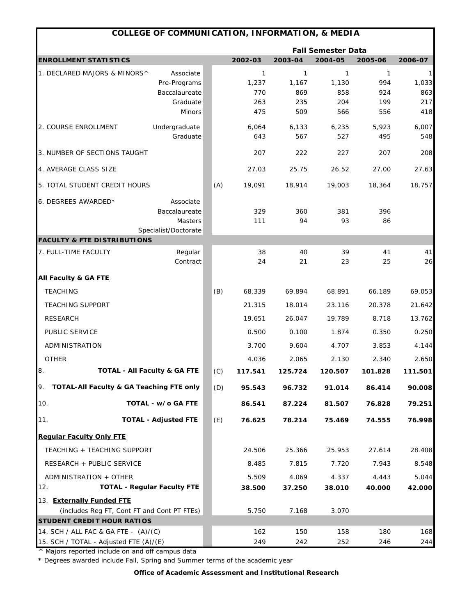|                                                           | <b>COLLEGE OF COMMUNICATION, INFORMATION, &amp; MEDIA</b> |     |              |              |                           |              |              |
|-----------------------------------------------------------|-----------------------------------------------------------|-----|--------------|--------------|---------------------------|--------------|--------------|
|                                                           |                                                           |     |              |              | <b>Fall Semester Data</b> |              |              |
| <b>ENROLLMENT STATISTICS</b>                              |                                                           |     | 2002-03      | 2003-04      | 2004-05                   | 2005-06      | 2006-07      |
| 1. DECLARED MAJORS & MINORS^                              | Associate                                                 |     | $\mathbf{1}$ | $\mathbf{1}$ | 1                         | $\mathbf{1}$ | 1            |
|                                                           | Pre-Programs                                              |     | 1,237        | 1,167        | 1,130                     | 994          | 1,033        |
|                                                           | Baccalaureate                                             |     | 770          | 869          | 858                       | 924          | 863          |
|                                                           | Graduate<br><b>Minors</b>                                 |     | 263<br>475   | 235<br>509   | 204<br>566                | 199<br>556   | 217<br>418   |
|                                                           |                                                           |     |              |              |                           |              |              |
| 2. COURSE ENROLLMENT                                      | Undergraduate<br>Graduate                                 |     | 6,064<br>643 | 6,133<br>567 | 6,235<br>527              | 5,923<br>495 | 6,007<br>548 |
|                                                           |                                                           |     |              |              |                           |              |              |
| 3. NUMBER OF SECTIONS TAUGHT                              |                                                           |     | 207          | 222          | 227                       | 207          | 208          |
| 4. AVERAGE CLASS SIZE                                     |                                                           |     | 27.03        | 25.75        | 26.52                     | 27.00        | 27.63        |
| 5. TOTAL STUDENT CREDIT HOURS                             |                                                           | (A) | 19,091       | 18,914       | 19,003                    | 18,364       | 18,757       |
| 6. DEGREES AWARDED*                                       | Associate                                                 |     |              |              |                           |              |              |
|                                                           | Baccalaureate                                             |     | 329          | 360          | 381                       | 396          |              |
|                                                           | Masters                                                   |     | 111          | 94           | 93                        | 86           |              |
|                                                           | Specialist/Doctorate                                      |     |              |              |                           |              |              |
| <b>FACULTY &amp; FTE DISTRIBUTIONS</b>                    |                                                           |     |              |              |                           |              |              |
| 7. FULL-TIME FACULTY                                      | Regular<br>Contract                                       |     | 38<br>24     | 40<br>21     | 39<br>23                  | 41<br>25     | 41<br>26     |
|                                                           |                                                           |     |              |              |                           |              |              |
| <b>All Faculty &amp; GA FTE</b>                           |                                                           |     |              |              |                           |              |              |
| <b>TEACHING</b>                                           |                                                           | (B) | 68.339       | 69.894       | 68.891                    | 66.189       | 69.053       |
| <b>TEACHING SUPPORT</b>                                   |                                                           |     | 21.315       | 18.014       | 23.116                    | 20.378       | 21.642       |
| <b>RESEARCH</b>                                           |                                                           |     | 19.651       | 26.047       | 19.789                    | 8.718        | 13.762       |
| PUBLIC SERVICE                                            |                                                           |     | 0.500        | 0.100        | 1.874                     | 0.350        | 0.250        |
| ADMINISTRATION                                            |                                                           |     | 3.700        | 9.604        | 4.707                     | 3.853        | 4.144        |
| <b>OTHER</b>                                              |                                                           |     | 4.036        | 2.065        | 2.130                     | 2.340        | 2.650        |
| 8.                                                        | <b>TOTAL - All Faculty &amp; GA FTE</b>                   | (C) | 117.541      | 125.724      | 120.507                   | 101.828      | 111.501      |
| 9.<br><b>TOTAL-All Faculty &amp; GA Teaching FTE only</b> |                                                           | (D) | 95.543       | 96.732       | 91.014                    | 86.414       | 90.008       |
| 10.                                                       | TOTAL - w/o GA FTE                                        |     | 86.541       | 87.224       | 81.507                    | 76.828       | 79.251       |
| 11.                                                       | <b>TOTAL - Adjusted FTE</b>                               | (E) | 76.625       | 78.214       | 75.469                    | 74.555       | 76.998       |
| <b>Regular Faculty Only FTE</b>                           |                                                           |     |              |              |                           |              |              |
| TEACHING + TEACHING SUPPORT                               |                                                           |     | 24.506       | 25.366       | 25.953                    | 27.614       | 28.408       |
| RESEARCH + PUBLIC SERVICE                                 |                                                           |     | 8.485        | 7.815        | 7.720                     | 7.943        | 8.548        |
| ADMINISTRATION + OTHER                                    |                                                           |     | 5.509        | 4.069        | 4.337                     | 4.443        | 5.044        |
| 12.                                                       | <b>TOTAL - Regular Faculty FTE</b>                        |     | 38.500       | 37.250       | 38.010                    | 40.000       | 42.000       |
| 13. Externally Funded FTE                                 |                                                           |     |              |              |                           |              |              |
| (includes Reg FT, Cont FT and Cont PT FTEs)               |                                                           |     | 5.750        | 7.168        | 3.070                     |              |              |
| STUDENT CREDIT HOUR RATIOS                                |                                                           |     |              |              |                           |              |              |
| 14. SCH / ALL FAC & GA FTE - (A)/(C)                      |                                                           |     | 162          | 150          | 158                       | 180          | 168          |
| 15. SCH / TOTAL - Adjusted FTE (A)/(E)                    |                                                           |     | 249          | 242          | 252                       | 246          | 244          |

\* Degrees awarded include Fall, Spring and Summer terms of the academic year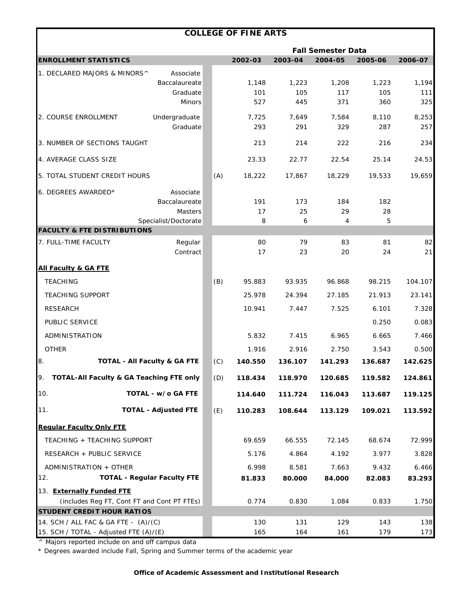|                                             |                                         |     | <b>COLLEGE OF FINE ARTS</b> |         |                           |         |         |
|---------------------------------------------|-----------------------------------------|-----|-----------------------------|---------|---------------------------|---------|---------|
|                                             |                                         |     |                             |         | <b>Fall Semester Data</b> |         |         |
| <b>ENROLLMENT STATISTICS</b>                |                                         |     | 2002-03                     | 2003-04 | 2004-05                   | 2005-06 | 2006-07 |
| 1. DECLARED MAJORS & MINORS^                | Associate                               |     |                             |         |                           |         |         |
|                                             | Baccalaureate                           |     | 1,148                       | 1,223   | 1,208                     | 1,223   | 1,194   |
|                                             | Graduate                                |     | 101                         | 105     | 117                       | 105     | 111     |
|                                             | <b>Minors</b>                           |     | 527                         | 445     | 371                       | 360     | 325     |
| 2. COURSE ENROLLMENT                        | Undergraduate                           |     | 7,725                       | 7,649   | 7,584                     | 8,110   | 8,253   |
|                                             | Graduate                                |     | 293                         | 291     | 329                       | 287     | 257     |
| 3. NUMBER OF SECTIONS TAUGHT                |                                         |     | 213                         | 214     | 222                       | 216     | 234     |
| 4. AVERAGE CLASS SIZE                       |                                         |     | 23.33                       | 22.77   | 22.54                     | 25.14   | 24.53   |
| 5. TOTAL STUDENT CREDIT HOURS               |                                         | (A) | 18,222                      | 17,867  | 18,229                    | 19,533  | 19,659  |
| 6. DEGREES AWARDED*                         | Associate                               |     |                             |         |                           |         |         |
|                                             | Baccalaureate                           |     | 191                         | 173     | 184                       | 182     |         |
|                                             | Masters                                 |     | 17                          | 25      | 29                        | 28      |         |
| <b>FACULTY &amp; FTE DISTRIBUTIONS</b>      | Specialist/Doctorate                    |     | 8                           | 6       | 4                         | 5       |         |
| 7. FULL-TIME FACULTY                        | Regular                                 |     | 80                          | 79      | 83                        | 81      | 82      |
|                                             | Contract                                |     | 17                          | 23      | 20                        | 24      | 21      |
| <b>All Faculty &amp; GA FTE</b>             |                                         |     |                             |         |                           |         |         |
| <b>TEACHING</b>                             |                                         | (B) | 95.883                      | 93.935  | 96.868                    | 98.215  | 104.107 |
| <b>TEACHING SUPPORT</b>                     |                                         |     | 25.978                      | 24.394  | 27.185                    | 21.913  | 23.141  |
| <b>RESEARCH</b>                             |                                         |     | 10.941                      | 7.447   | 7.525                     | 6.101   | 7.328   |
| PUBLIC SERVICE                              |                                         |     |                             |         |                           | 0.250   | 0.083   |
| ADMINISTRATION                              |                                         |     | 5.832                       | 7.415   | 6.965                     | 6.665   | 7.466   |
| <b>OTHER</b>                                |                                         |     | 1.916                       | 2.916   | 2.750                     | 3.543   | 0.500   |
| 8.                                          | <b>TOTAL - All Faculty &amp; GA FTE</b> | (C) | 140.550                     | 136.107 | 141.293                   | 136.687 | 142.625 |
| TOTAL-All Faculty & GA Teaching FTE only    |                                         | (D) | 118.434                     | 118.970 | 120.685                   | 119.582 | 124.861 |
| 10.                                         | TOTAL - w/o GA FTE                      |     | 114.640                     | 111.724 | 116.043                   | 113.687 | 119.125 |
| 11.                                         | <b>TOTAL - Adjusted FTE</b>             | (E) | 110.283                     | 108.644 | 113.129                   | 109.021 | 113.592 |
| <b>Regular Faculty Only FTE</b>             |                                         |     |                             |         |                           |         |         |
| TEACHING + TEACHING SUPPORT                 |                                         |     | 69.659                      | 66.555  | 72.145                    | 68.674  | 72.999  |
| RESEARCH + PUBLIC SERVICE                   |                                         |     | 5.176                       | 4.864   | 4.192                     | 3.977   | 3.828   |
| ADMINISTRATION + OTHER                      |                                         |     | 6.998                       | 8.581   | 7.663                     | 9.432   | 6.466   |
| 12.                                         | <b>TOTAL - Regular Faculty FTE</b>      |     | 81.833                      | 80.000  | 84.000                    | 82.083  | 83.293  |
| 13. Externally Funded FTE                   |                                         |     |                             |         |                           |         |         |
| (includes Reg FT, Cont FT and Cont PT FTEs) |                                         |     | 0.774                       | 0.830   | 1.084                     | 0.833   | 1.750   |
| <b>STUDENT CREDIT HOUR RATIOS</b>           |                                         |     |                             |         |                           |         |         |
| 14. SCH / ALL FAC & GA FTE - (A)/(C)        |                                         |     | 130                         | 131     | 129                       | 143     | 138     |
| 15. SCH / TOTAL - Adjusted FTE (A)/(E)      |                                         |     | 165                         | 164     | 161                       | 179     | 173     |

\* Degrees awarded include Fall, Spring and Summer terms of the academic year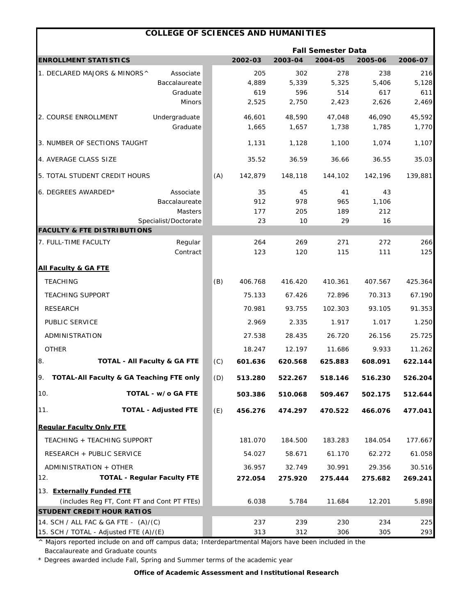|                                               | <b>COLLEGE OF SCIENCES AND HUMANITIES</b> |     |         |         |         |         |         |  |
|-----------------------------------------------|-------------------------------------------|-----|---------|---------|---------|---------|---------|--|
|                                               | <b>Fall Semester Data</b>                 |     |         |         |         |         |         |  |
| <b>ENROLLMENT STATISTICS</b>                  |                                           |     | 2002-03 | 2003-04 | 2004-05 | 2005-06 | 2006-07 |  |
| 1. DECLARED MAJORS & MINORS^                  | Associate                                 |     | 205     | 302     | 278     | 238     | 216     |  |
|                                               | Baccalaureate                             |     | 4,889   | 5,339   | 5,325   | 5,406   | 5,128   |  |
|                                               | Graduate                                  |     | 619     | 596     | 514     | 617     | 611     |  |
|                                               | <b>Minors</b>                             |     | 2,525   | 2,750   | 2,423   | 2,626   | 2,469   |  |
| 2. COURSE ENROLLMENT                          | Undergraduate                             |     | 46,601  | 48,590  | 47,048  | 46,090  | 45,592  |  |
|                                               | Graduate                                  |     | 1,665   | 1,657   | 1,738   | 1,785   | 1,770   |  |
| 3. NUMBER OF SECTIONS TAUGHT                  |                                           |     | 1,131   | 1,128   | 1,100   | 1,074   | 1,107   |  |
| 4. AVERAGE CLASS SIZE                         |                                           |     | 35.52   | 36.59   | 36.66   | 36.55   | 35.03   |  |
| 5. TOTAL STUDENT CREDIT HOURS                 |                                           | (A) | 142,879 | 148,118 | 144,102 | 142,196 | 139,881 |  |
| 6. DEGREES AWARDED*                           | Associate                                 |     | 35      | 45      | 41      | 43      |         |  |
|                                               | Baccalaureate                             |     | 912     | 978     | 965     | 1,106   |         |  |
|                                               | <b>Masters</b>                            |     | 177     | 205     | 189     | 212     |         |  |
| <b>FACULTY &amp; FTE DISTRIBUTIONS</b>        | Specialist/Doctorate                      |     | 23      | 10      | 29      | 16      |         |  |
| 7. FULL-TIME FACULTY                          | Regular                                   |     | 264     | 269     | 271     | 272     | 266     |  |
|                                               | Contract                                  |     | 123     | 120     | 115     | 111     | 125     |  |
| <b>All Faculty &amp; GA FTE</b>               |                                           |     |         |         |         |         |         |  |
| <b>TEACHING</b>                               |                                           | (B) | 406.768 | 416.420 | 410.361 | 407.567 | 425.364 |  |
| <b>TEACHING SUPPORT</b>                       |                                           |     | 75.133  | 67.426  | 72.896  | 70.313  | 67.190  |  |
| <b>RESEARCH</b>                               |                                           |     | 70.981  | 93.755  | 102.303 | 93.105  | 91.353  |  |
| PUBLIC SERVICE                                |                                           |     | 2.969   | 2.335   | 1.917   | 1.017   | 1.250   |  |
| ADMINISTRATION                                |                                           |     | 27.538  | 28.435  | 26.720  | 26.156  | 25.725  |  |
| <b>OTHER</b>                                  |                                           |     | 18.247  | 12.197  | 11.686  | 9.933   | 11.262  |  |
| 8.<br><b>TOTAL - All Faculty &amp; GA FTE</b> |                                           | (C) | 601.636 | 620.568 | 625.883 | 608.091 | 622.144 |  |
| 9. TOTAL-All Faculty & GA Teaching FTE only   |                                           | (D) | 513.280 | 522.267 | 518.146 | 516.230 | 526.204 |  |
| 10.                                           | TOTAL - w/o GA FTE                        |     | 503.386 | 510.068 | 509.467 | 502.175 | 512.644 |  |
| 11.                                           | <b>TOTAL - Adjusted FTE</b>               | (E) | 456.276 | 474.297 | 470.522 | 466.076 | 477.041 |  |
| <b>Regular Faculty Only FTE</b>               |                                           |     |         |         |         |         |         |  |
| TEACHING + TEACHING SUPPORT                   |                                           |     | 181.070 | 184.500 | 183.283 | 184.054 | 177.667 |  |
| RESEARCH + PUBLIC SERVICE                     |                                           |     | 54.027  | 58.671  | 61.170  | 62.272  | 61.058  |  |
| ADMINISTRATION + OTHER                        |                                           |     | 36.957  | 32.749  | 30.991  | 29.356  | 30.516  |  |
| 12.                                           | <b>TOTAL - Regular Faculty FTE</b>        |     | 272.054 | 275.920 | 275.444 | 275.682 | 269.241 |  |
| 13. Externally Funded FTE                     |                                           |     |         |         |         |         |         |  |
| (includes Reg FT, Cont FT and Cont PT FTEs)   |                                           |     | 6.038   | 5.784   | 11.684  | 12.201  | 5.898   |  |
| <b>STUDENT CREDIT HOUR RATIOS</b>             |                                           |     |         |         |         |         |         |  |
| 14. SCH / ALL FAC & GA FTE - (A)/(C)          |                                           |     | 237     | 239     | 230     | 234     | 225     |  |
| 15. SCH / TOTAL - Adjusted FTE (A)/(E)        |                                           |     | 313     | 312     | 306     | 305     | 293     |  |

^ Majors reported include on and off campus data; Interdepartmental Majors have been included in the Baccalaureate and Graduate counts

\* Degrees awarded include Fall, Spring and Summer terms of the academic year